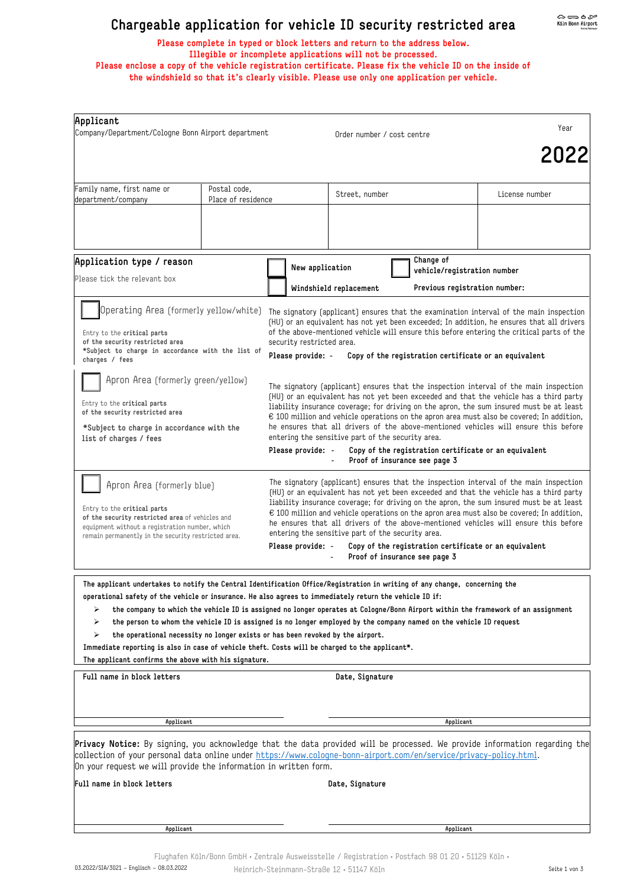## **Chargeable application for vehicle ID security restricted area**

**Please complete in typed or block letters and return to the address below. Illegible or incomplete applications will not be processed. Please enclose a copy of the vehicle registration certificate. Please fix the vehicle ID on the inside of the windshield so that it's clearly visible. Please use only one application per vehicle.** 

| Applicant<br>Company/Department/Cologne Bonn Airport department                                                                                                                                                                                                                                                             |                                    |                                                                                                                                                                                                                                                                                                                                                                                                                                                                          |                            |           | Year                                                                                                                             |  |  |
|-----------------------------------------------------------------------------------------------------------------------------------------------------------------------------------------------------------------------------------------------------------------------------------------------------------------------------|------------------------------------|--------------------------------------------------------------------------------------------------------------------------------------------------------------------------------------------------------------------------------------------------------------------------------------------------------------------------------------------------------------------------------------------------------------------------------------------------------------------------|----------------------------|-----------|----------------------------------------------------------------------------------------------------------------------------------|--|--|
|                                                                                                                                                                                                                                                                                                                             |                                    |                                                                                                                                                                                                                                                                                                                                                                                                                                                                          | Order number / cost centre |           | 2022                                                                                                                             |  |  |
|                                                                                                                                                                                                                                                                                                                             |                                    |                                                                                                                                                                                                                                                                                                                                                                                                                                                                          |                            |           |                                                                                                                                  |  |  |
| Family name, first name or<br>department/company                                                                                                                                                                                                                                                                            | Postal code,<br>Place of residence |                                                                                                                                                                                                                                                                                                                                                                                                                                                                          | Street, number             |           | License number                                                                                                                   |  |  |
|                                                                                                                                                                                                                                                                                                                             |                                    |                                                                                                                                                                                                                                                                                                                                                                                                                                                                          |                            |           |                                                                                                                                  |  |  |
|                                                                                                                                                                                                                                                                                                                             |                                    |                                                                                                                                                                                                                                                                                                                                                                                                                                                                          |                            |           |                                                                                                                                  |  |  |
| Application type / reason                                                                                                                                                                                                                                                                                                   |                                    | New application                                                                                                                                                                                                                                                                                                                                                                                                                                                          |                            | Change of |                                                                                                                                  |  |  |
| Please tick the relevant box                                                                                                                                                                                                                                                                                                |                                    | vehicle/registration number<br>Windshield replacement<br>Previous registration number:                                                                                                                                                                                                                                                                                                                                                                                   |                            |           |                                                                                                                                  |  |  |
| Operating Area (formerly yellow/white)<br>Entry to the critical parts<br>of the security restricted area<br>*Subject to charge in accordance with the list of<br>charges / fees                                                                                                                                             |                                    | The signatory (applicant) ensures that the examination interval of the main inspection                                                                                                                                                                                                                                                                                                                                                                                   |                            |           |                                                                                                                                  |  |  |
|                                                                                                                                                                                                                                                                                                                             |                                    | (HU) or an equivalent has not yet been exceeded; In addition, he ensures that all drivers<br>of the above-mentioned vehicle will ensure this before entering the critical parts of the                                                                                                                                                                                                                                                                                   |                            |           |                                                                                                                                  |  |  |
|                                                                                                                                                                                                                                                                                                                             |                                    | security restricted area.<br>Please provide: -<br>Copy of the registration certificate or an equivalent                                                                                                                                                                                                                                                                                                                                                                  |                            |           |                                                                                                                                  |  |  |
| Apron Area (formerly green/yellow)                                                                                                                                                                                                                                                                                          |                                    |                                                                                                                                                                                                                                                                                                                                                                                                                                                                          |                            |           |                                                                                                                                  |  |  |
| Entry to the critical parts<br>of the security restricted area                                                                                                                                                                                                                                                              |                                    | The signatory (applicant) ensures that the inspection interval of the main inspection<br>(HU) or an equivalent has not yet been exceeded and that the vehicle has a third party<br>liability insurance coverage; for driving on the apron, the sum insured must be at least<br>$\epsilon$ 100 million and vehicle operations on the apron area must also be covered; In addition,<br>he ensures that all drivers of the above-mentioned vehicles will ensure this before |                            |           |                                                                                                                                  |  |  |
| *Subject to charge in accordance with the                                                                                                                                                                                                                                                                                   |                                    |                                                                                                                                                                                                                                                                                                                                                                                                                                                                          |                            |           |                                                                                                                                  |  |  |
| list of charges / fees                                                                                                                                                                                                                                                                                                      |                                    | entering the sensitive part of the security area.<br>Please provide: -<br>Copy of the registration certificate or an equivalent<br>Proof of insurance see page 3                                                                                                                                                                                                                                                                                                         |                            |           |                                                                                                                                  |  |  |
| Apron Area (formerly blue)                                                                                                                                                                                                                                                                                                  |                                    |                                                                                                                                                                                                                                                                                                                                                                                                                                                                          |                            |           | The signatory (applicant) ensures that the inspection interval of the main inspection                                            |  |  |
| Entry to the <b>critical</b> parts                                                                                                                                                                                                                                                                                          |                                    | (HU) or an equivalent has not yet been exceeded and that the vehicle has a third party<br>liability insurance coverage; for driving on the apron, the sum insured must be at least                                                                                                                                                                                                                                                                                       |                            |           |                                                                                                                                  |  |  |
| of the security restricted area of vehicles and<br>equipment without a reqistration number, which                                                                                                                                                                                                                           |                                    | $\epsilon$ 100 million and vehicle operations on the apron area must also be covered; In addition,<br>he ensures that all drivers of the above-mentioned vehicles will ensure this before<br>entering the sensitive part of the security area.                                                                                                                                                                                                                           |                            |           |                                                                                                                                  |  |  |
| remain permanently in the security restricted area.                                                                                                                                                                                                                                                                         |                                    | Please provide: -<br>Copy of the registration certificate or an equivalent<br>Proof of insurance see page 3                                                                                                                                                                                                                                                                                                                                                              |                            |           |                                                                                                                                  |  |  |
| The applicant undertakes to notify the Central Identification Office/Registration in writing of any change, concerning the                                                                                                                                                                                                  |                                    |                                                                                                                                                                                                                                                                                                                                                                                                                                                                          |                            |           |                                                                                                                                  |  |  |
| operational safety of the vehicle or insurance. He also agrees to immediately return the vehicle ID if:<br>➤                                                                                                                                                                                                                |                                    |                                                                                                                                                                                                                                                                                                                                                                                                                                                                          |                            |           | the company to which the vehicle ID is assigned no longer operates at Cologne/Bonn Airport within the framework of an assignment |  |  |
| ⋗<br>the person to whom the vehicle ID is assigned is no longer employed by the company named on the vehicle ID request<br>⋗                                                                                                                                                                                                |                                    |                                                                                                                                                                                                                                                                                                                                                                                                                                                                          |                            |           |                                                                                                                                  |  |  |
| the operational necessity no longer exists or has been revoked by the airport.<br>Immediate reporting is also in case of vehicle theft. Costs will be charged to the applicant*.                                                                                                                                            |                                    |                                                                                                                                                                                                                                                                                                                                                                                                                                                                          |                            |           |                                                                                                                                  |  |  |
| The applicant confirms the above with his signature.<br>Full name in block letters                                                                                                                                                                                                                                          |                                    |                                                                                                                                                                                                                                                                                                                                                                                                                                                                          | Date, Signature            |           |                                                                                                                                  |  |  |
|                                                                                                                                                                                                                                                                                                                             |                                    |                                                                                                                                                                                                                                                                                                                                                                                                                                                                          |                            |           |                                                                                                                                  |  |  |
| Applicant                                                                                                                                                                                                                                                                                                                   |                                    |                                                                                                                                                                                                                                                                                                                                                                                                                                                                          |                            | Applicant |                                                                                                                                  |  |  |
| <b>Privacy Notice:</b> By signing, you acknowledge that the data provided will be processed. We provide information regarding the<br>collection of your personal data online under https://www.cologne-bonn-airport.com/en/service/privacy-policy.html.<br>On your request we will provide the information in written form. |                                    |                                                                                                                                                                                                                                                                                                                                                                                                                                                                          |                            |           |                                                                                                                                  |  |  |
| Full name in block letters                                                                                                                                                                                                                                                                                                  |                                    |                                                                                                                                                                                                                                                                                                                                                                                                                                                                          | Date, Signature            |           |                                                                                                                                  |  |  |
|                                                                                                                                                                                                                                                                                                                             |                                    |                                                                                                                                                                                                                                                                                                                                                                                                                                                                          |                            |           |                                                                                                                                  |  |  |
| Applicant                                                                                                                                                                                                                                                                                                                   |                                    |                                                                                                                                                                                                                                                                                                                                                                                                                                                                          |                            | Applicant |                                                                                                                                  |  |  |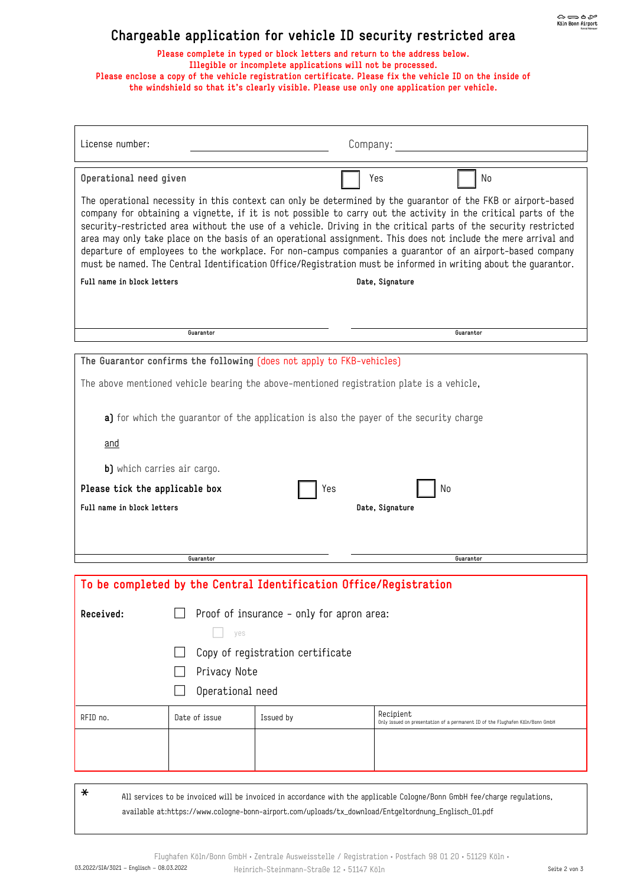## **Chargeable application for vehicle ID security restricted area**

**Please complete in typed or block letters and return to the address below. Illegible or incomplete applications will not be processed. Please enclose a copy of the vehicle registration certificate. Please fix the vehicle ID on the inside of the windshield so that it's clearly visible. Please use only one application per vehicle.** 

| License number:                                                                                                                                                                                                                                                                                                                                                                                                                                                                                                                                                                                                                                                                                     |                                                                                        |           | Company:        |                                                                               |  |
|-----------------------------------------------------------------------------------------------------------------------------------------------------------------------------------------------------------------------------------------------------------------------------------------------------------------------------------------------------------------------------------------------------------------------------------------------------------------------------------------------------------------------------------------------------------------------------------------------------------------------------------------------------------------------------------------------------|----------------------------------------------------------------------------------------|-----------|-----------------|-------------------------------------------------------------------------------|--|
|                                                                                                                                                                                                                                                                                                                                                                                                                                                                                                                                                                                                                                                                                                     |                                                                                        |           |                 |                                                                               |  |
| Operational need given                                                                                                                                                                                                                                                                                                                                                                                                                                                                                                                                                                                                                                                                              |                                                                                        |           | Yes             | No                                                                            |  |
| The operational necessity in this context can only be determined by the guarantor of the FKB or airport-based<br>company for obtaining a vignette, if it is not possible to carry out the activity in the critical parts of the<br>security-restricted area without the use of a vehicle. Driving in the critical parts of the security restricted<br>area may only take place on the basis of an operational assignment. This does not include the mere arrival and<br>departure of employees to the workplace. For non-campus companies a guarantor of an airport-based company<br>must be named. The Central Identification Office/Registration must be informed in writing about the guarantor. |                                                                                        |           |                 |                                                                               |  |
| Full name in block letters                                                                                                                                                                                                                                                                                                                                                                                                                                                                                                                                                                                                                                                                          |                                                                                        |           | Date, Signature |                                                                               |  |
|                                                                                                                                                                                                                                                                                                                                                                                                                                                                                                                                                                                                                                                                                                     |                                                                                        |           |                 |                                                                               |  |
|                                                                                                                                                                                                                                                                                                                                                                                                                                                                                                                                                                                                                                                                                                     |                                                                                        |           |                 |                                                                               |  |
|                                                                                                                                                                                                                                                                                                                                                                                                                                                                                                                                                                                                                                                                                                     | Guarantor                                                                              |           |                 | Guarantor                                                                     |  |
| The Guarantor confirms the following (does not apply to FKB-vehicles)                                                                                                                                                                                                                                                                                                                                                                                                                                                                                                                                                                                                                               |                                                                                        |           |                 |                                                                               |  |
| The above mentioned vehicle bearing the above-mentioned registration plate is a vehicle,                                                                                                                                                                                                                                                                                                                                                                                                                                                                                                                                                                                                            |                                                                                        |           |                 |                                                                               |  |
|                                                                                                                                                                                                                                                                                                                                                                                                                                                                                                                                                                                                                                                                                                     |                                                                                        |           |                 |                                                                               |  |
|                                                                                                                                                                                                                                                                                                                                                                                                                                                                                                                                                                                                                                                                                                     | a) for which the guarantor of the application is also the payer of the security charge |           |                 |                                                                               |  |
| and                                                                                                                                                                                                                                                                                                                                                                                                                                                                                                                                                                                                                                                                                                 |                                                                                        |           |                 |                                                                               |  |
| b) which carries air cargo.                                                                                                                                                                                                                                                                                                                                                                                                                                                                                                                                                                                                                                                                         |                                                                                        |           |                 |                                                                               |  |
| Please tick the applicable box                                                                                                                                                                                                                                                                                                                                                                                                                                                                                                                                                                                                                                                                      |                                                                                        | Yes       |                 | No                                                                            |  |
| Full name in block letters                                                                                                                                                                                                                                                                                                                                                                                                                                                                                                                                                                                                                                                                          |                                                                                        |           | Date, Signature |                                                                               |  |
|                                                                                                                                                                                                                                                                                                                                                                                                                                                                                                                                                                                                                                                                                                     |                                                                                        |           |                 |                                                                               |  |
|                                                                                                                                                                                                                                                                                                                                                                                                                                                                                                                                                                                                                                                                                                     |                                                                                        |           |                 |                                                                               |  |
| Guarantor                                                                                                                                                                                                                                                                                                                                                                                                                                                                                                                                                                                                                                                                                           |                                                                                        |           | Guarantor       |                                                                               |  |
| To be completed by the Central Identification Office/Registration                                                                                                                                                                                                                                                                                                                                                                                                                                                                                                                                                                                                                                   |                                                                                        |           |                 |                                                                               |  |
|                                                                                                                                                                                                                                                                                                                                                                                                                                                                                                                                                                                                                                                                                                     |                                                                                        |           |                 |                                                                               |  |
| Received:                                                                                                                                                                                                                                                                                                                                                                                                                                                                                                                                                                                                                                                                                           | Proof of insurance - only for apron area:                                              |           |                 |                                                                               |  |
|                                                                                                                                                                                                                                                                                                                                                                                                                                                                                                                                                                                                                                                                                                     | yes                                                                                    |           |                 |                                                                               |  |
|                                                                                                                                                                                                                                                                                                                                                                                                                                                                                                                                                                                                                                                                                                     | Copy of registration certificate                                                       |           |                 |                                                                               |  |
|                                                                                                                                                                                                                                                                                                                                                                                                                                                                                                                                                                                                                                                                                                     | Privacy Note                                                                           |           |                 |                                                                               |  |
| Operational need                                                                                                                                                                                                                                                                                                                                                                                                                                                                                                                                                                                                                                                                                    |                                                                                        |           |                 |                                                                               |  |
| RFID no.                                                                                                                                                                                                                                                                                                                                                                                                                                                                                                                                                                                                                                                                                            | Date of issue                                                                          | Issued by | Recipient       | Only issued on presentation of a permanent ID of the Flughafen Köln/Bonn GmbH |  |
|                                                                                                                                                                                                                                                                                                                                                                                                                                                                                                                                                                                                                                                                                                     |                                                                                        |           |                 |                                                                               |  |
|                                                                                                                                                                                                                                                                                                                                                                                                                                                                                                                                                                                                                                                                                                     |                                                                                        |           |                 |                                                                               |  |
|                                                                                                                                                                                                                                                                                                                                                                                                                                                                                                                                                                                                                                                                                                     |                                                                                        |           |                 |                                                                               |  |
|                                                                                                                                                                                                                                                                                                                                                                                                                                                                                                                                                                                                                                                                                                     |                                                                                        |           |                 |                                                                               |  |

 $\ast$  All services to be invoiced will be invoiced in accordance with the applicable Cologne/Bonn GmbH fee/charge regulations, available at:[https://www.cologne-bonn-airport.com/uploads/tx\\_download/Entgeltordnung\\_Englisch\\_01.pdf](https://www.cologne-bonn-airport.com/uploads/tx_download/Entgeltordnung_Englisch_01.pdf)